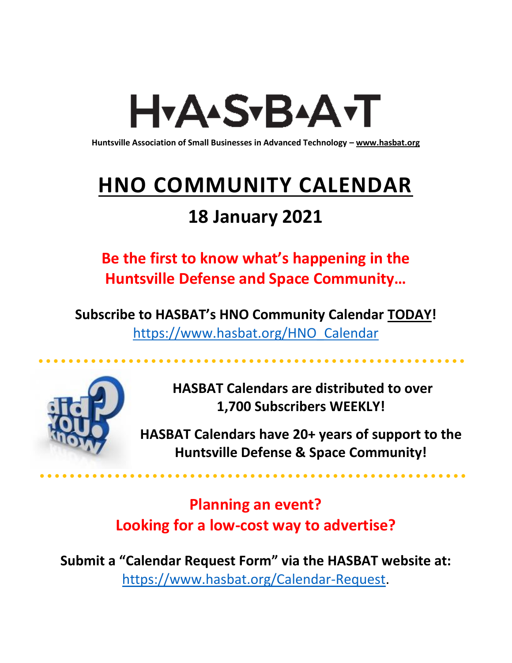# H<sub>Y</sub>AASTBAATT

**Huntsville Association of Small Businesses in Advanced Technology – [www.hasbat.org](http://www.hasbat.org/)**

# **HNO COMMUNITY CALENDAR**

### **18 January 2021**

**Be the first to know what's happening in the Huntsville Defense and Space Community…** 

**Subscribe to HASBAT's HNO Community Calendar TODAY!**  [https://www.hasbat.org/HNO\\_Calendar](https://www.hasbat.org/HNO_Calendar)



**HASBAT Calendars are distributed to over 1,700 Subscribers WEEKLY!**

**HASBAT Calendars have 20+ years of support to the Huntsville Defense & Space Community!** 

**Planning an event? Looking for a low-cost way to advertise?**

**Submit a "Calendar Request Form" via the HASBAT website at:**  [https://www.hasbat.org/Calendar-Request.](https://www.hasbat.org/Calendar-Request)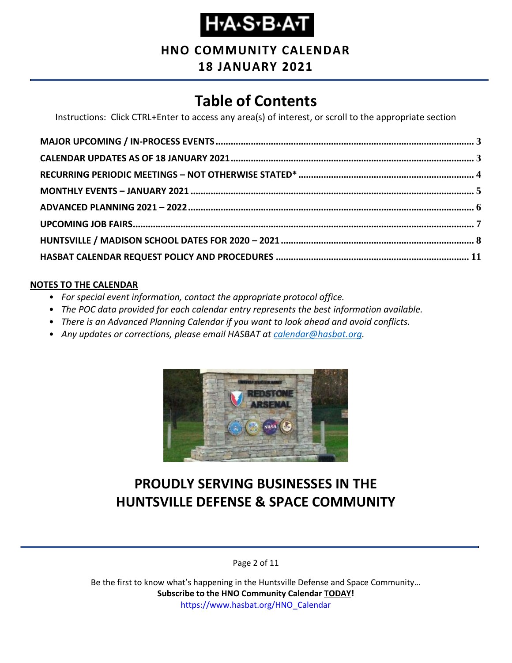# **Н-А-S-В-А-Т**

### **HNO COMMUNITY CALENDAR**

#### **18 JANUARY 2021**

### **Table of Contents**

Instructions: Click CTRL+Enter to access any area(s) of interest, or scroll to the appropriate section

#### **NOTES TO THE CALENDAR**

- *For special event information, contact the appropriate protocol office.*
- *The POC data provided for each calendar entry represents the best information available.*
- *There is an Advanced Planning Calendar if you want to look ahead and avoid conflicts.*
- *Any updates or corrections, please email HASBAT at [calendar@hasbat.org.](mailto:calendar@hasbat.org)*



### **PROUDLY SERVING BUSINESSES IN THE HUNTSVILLE DEFENSE & SPACE COMMUNITY**

Page 2 of 11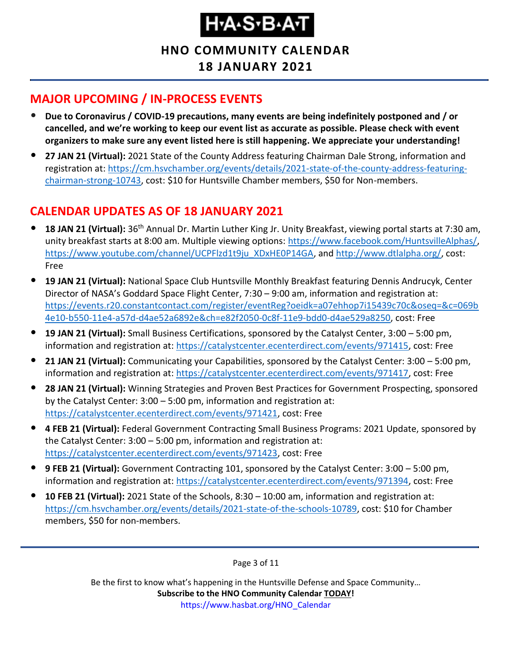**HNO COMMUNITY CALENDAR 18 JANUARY 2021**

#### <span id="page-2-0"></span>**MAJOR UPCOMING / IN-PROCESS EVENTS**

- **Due to Coronavirus / COVID-19 precautions, many events are being indefinitely postponed and / or cancelled, and we're working to keep our event list as accurate as possible. Please check with event organizers to make sure any event listed here is still happening. We appreciate your understanding!**
- **27 JAN 21 (Virtual):** 2021 State of the County Address featuring Chairman Dale Strong, information and registration at: [https://cm.hsvchamber.org/events/details/2021-state-of-the-county-address-featuring](https://cm.hsvchamber.org/events/details/2021-state-of-the-county-address-featuring-chairman-strong-10743)[chairman-strong-10743,](https://cm.hsvchamber.org/events/details/2021-state-of-the-county-address-featuring-chairman-strong-10743) cost: \$10 for Huntsville Chamber members, \$50 for Non-members.

### <span id="page-2-1"></span>**CALENDAR UPDATES AS OF 18 JANUARY 2021**

- **18 JAN 21 (Virtual):** 36th Annual Dr. Martin Luther King Jr. Unity Breakfast, viewing portal starts at 7:30 am, unity breakfast starts at 8:00 am. Multiple viewing options: [https://www.facebook.com/HuntsvilleAlphas/,](https://www.facebook.com/HuntsvilleAlphas/) [https://www.youtube.com/channel/UCPFlzd1t9ju\\_XDxHE0P14GA,](https://www.youtube.com/channel/UCPFlzd1t9ju_XDxHE0P14GA?app=desktop) and [http://www.dtlalpha.org/,](http://www.dtlalpha.org/) cost: Free
- **19 JAN 21 (Virtual):** National Space Club Huntsville Monthly Breakfast featuring Dennis Andrucyk, Center Director of NASA's Goddard Space Flight Center, 7:30 – 9:00 am, information and registration at: [https://events.r20.constantcontact.com/register/eventReg?oeidk=a07ehhop7i15439c70c&oseq=&c=069b](https://events.r20.constantcontact.com/register/eventReg?oeidk=a07ehhop7i15439c70c&oseq=&c=069b4e10-b550-11e4-a57d-d4ae52a6892e&ch=e82f2050-0c8f-11e9-bdd0-d4ae529a8250) [4e10-b550-11e4-a57d-d4ae52a6892e&ch=e82f2050-0c8f-11e9-bdd0-d4ae529a8250,](https://events.r20.constantcontact.com/register/eventReg?oeidk=a07ehhop7i15439c70c&oseq=&c=069b4e10-b550-11e4-a57d-d4ae52a6892e&ch=e82f2050-0c8f-11e9-bdd0-d4ae529a8250) cost: Free
- **19 JAN 21 (Virtual):** Small Business Certifications, sponsored by the Catalyst Center, 3:00 5:00 pm, information and registration at: [https://catalystcenter.ecenterdirect.com/events/971415,](https://catalystcenter.ecenterdirect.com/events/971415) cost: Free
- **21 JAN 21 (Virtual):** Communicating your Capabilities, sponsored by the Catalyst Center: 3:00 5:00 pm, information and registration at: [https://catalystcenter.ecenterdirect.com/events/971417,](https://catalystcenter.ecenterdirect.com/events/971417) cost: Free
- **28 JAN 21 (Virtual):** Winning Strategies and Proven Best Practices for Government Prospecting, sponsored by the Catalyst Center: 3:00 – 5:00 pm, information and registration at: [https://catalystcenter.ecenterdirect.com/events/971421,](https://catalystcenter.ecenterdirect.com/events/971421) cost: Free
- **4 FEB 21 (Virtual):** Federal Government Contracting Small Business Programs: 2021 Update, sponsored by the Catalyst Center: 3:00 – 5:00 pm, information and registration at: [https://catalystcenter.ecenterdirect.com/events/971423,](https://catalystcenter.ecenterdirect.com/events/971423) cost: Free
- **9 FEB 21 (Virtual):** Government Contracting 101, sponsored by the Catalyst Center: 3:00 5:00 pm, information and registration at: [https://catalystcenter.ecenterdirect.com/events/971394,](https://catalystcenter.ecenterdirect.com/events/971394) cost: Free
- **10 FEB 21 (Virtual):** 2021 State of the Schools, 8:30 10:00 am, information and registration at: [https://cm.hsvchamber.org/events/details/2021-state-of-the-schools-10789,](https://cm.hsvchamber.org/events/details/2021-state-of-the-schools-10789) cost: \$10 for Chamber members, \$50 for non-members.

Page 3 of 11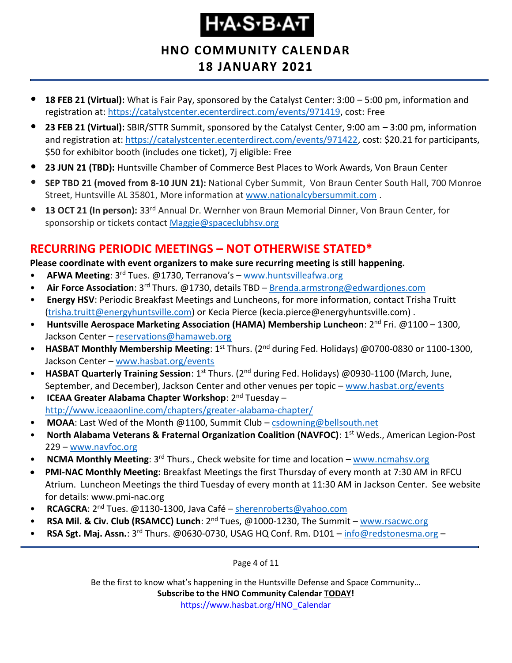#### **HNO COMMUNITY CALENDAR 18 JANUARY 2021**

- **18 FEB 21 (Virtual):** What is Fair Pay, sponsored by the Catalyst Center: 3:00 5:00 pm, information and registration at: [https://catalystcenter.ecenterdirect.com/events/971419,](https://catalystcenter.ecenterdirect.com/events/971419) cost: Free
- **23 FEB 21 (Virtual):** SBIR/STTR Summit, sponsored by the Catalyst Center, 9:00 am 3:00 pm, information and registration at: [https://catalystcenter.ecenterdirect.com/events/971422,](https://catalystcenter.ecenterdirect.com/events/971422) cost: \$20.21 for participants, \$50 for exhibitor booth (includes one ticket), 7j eligible: Free
- **23 JUN 21 (TBD):** Huntsville Chamber of Commerce Best Places to Work Awards, Von Braun Center
- **SEP TBD 21 (moved from 8-10 JUN 21):** National Cyber Summit, Von Braun Center South Hall, 700 Monroe Street, Huntsville AL 35801, More information at [www.nationalcybersummit.com](http://www.nationalcybersummit.com/) .
- **13 OCT 21 (In person):** 33rd Annual Dr. Wernher von Braun Memorial Dinner, Von Braun Center, for sponsorship or tickets contact [Maggie@spaceclubhsv.org](mailto:Maggie@spaceclubhsv.org)

#### <span id="page-3-0"></span>**RECURRING PERIODIC MEETINGS – NOT OTHERWISE STATED\***

**Please coordinate with event organizers to make sure recurring meeting is still happening.**

- **AFWA Meeting**: 3<sup>rd</sup> Tues. @1730, Terranova's [www.huntsvilleafwa.org](http://www.huntsvilleafwa.org/)
- **Air Force Association**: 3<sup>rd</sup> Thurs. @1730, details TBD **[Brenda.armstrong@edwardjones.com](mailto:Brenda.armstrong@edwardjones.com)**
- **Energy HSV**: Periodic Breakfast Meetings and Luncheons, for more information, contact Trisha Truitt [\(trisha.truitt@energyhuntsville.com\)](mailto:trisha.truitt@energyhuntsville.com) or Kecia Pierce (kecia.pierce@energyhuntsville.com) .
- Huntsville Aerospace Marketing Association (HAMA) Membership Luncheon: 2<sup>nd</sup> Fri. @1100 1300, Jackson Center – [reservations@hamaweb.org](mailto:reservations@hamaweb.org)
- **HASBAT Monthly Membership Meeting**: 1<sup>st</sup> Thurs. (2<sup>nd</sup> during Fed. Holidays) @0700-0830 or 1100-1300, Jackson Center – [www.hasbat.org/events](http://www.hasbat.org/events)
- **HASBAT Quarterly Training Session**: 1<sup>st</sup> Thurs. (2<sup>nd</sup> during Fed. Holidays) @0930-1100 (March, June, September, and December), Jackson Center and other venues per topic – [www.hasbat.org/events](http://www.hasbat.org/events)
- **ICEAA Greater Alabama Chapter Workshop**: 2nd Tuesday <http://www.iceaaonline.com/chapters/greater-alabama-chapter/>
- MOAA: Last Wed of the Month @1100, Summit Club [csdowning@bellsouth.net](mailto:csdowning@bellsouth.net)
- **North Alabama Veterans & Fraternal Organization Coalition (NAVFOC): 1<sup>st</sup> Weds., American Legion-Post** 229 – [www.navfoc.org](http://www.navfoc.org/)
- **NCMA Monthly Meeting**: 3rd Thurs., Check website for time and location [www.ncmahsv.org](http://www.ncmahsv.org/)
- **PMI-NAC Monthly Meeting:** Breakfast Meetings the first Thursday of every month at 7:30 AM in RFCU Atrium. Luncheon Meetings the third Tuesday of every month at 11:30 AM in Jackson Center. See website for details: www.pmi-nac.org
- **RCAGCRA**: 2<sup>nd</sup> Tues. @1130-1300, Java Café [sherenroberts@yahoo.com](mailto:sherenroberts@yahoo.com)
- **RSA Mil. & Civ. Club (RSAMCC) Lunch**: 2nd Tues, @1000-1230, The Summit [www.rsacwc.org](http://www.rsacwc.org/)
- **RSA Sgt. Maj. Assn.**: 3rd Thurs. @0630-0730, USAG HQ Conf. Rm. D101 [info@redstonesma.org](mailto:info@redstonesma.org) –

Page 4 of 11

Be the first to know what's happening in the Huntsville Defense and Space Community…

#### **Subscribe to the HNO Community Calendar TODAY!**

https://www.hasbat.org/HNO\_Calendar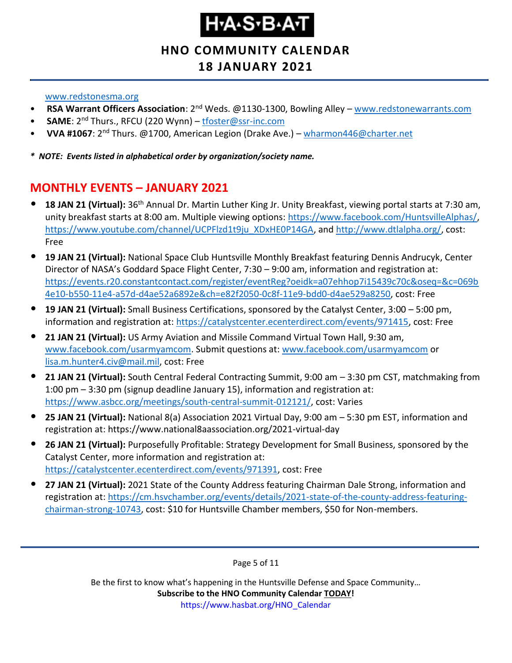### **HNO COMMUNITY CALENDAR**

#### **18 JANUARY 2021**

#### [www.redstonesma.org](http://www.redstonesma.org/)

- **RSA Warrant Officers Association**: 2nd Weds. @1130-1300, Bowling Alley [www.redstonewarrants.com](http://www.redstonewarrants.com/)
- **SAME**: 2nd Thurs., RFCU (220 Wynn) [tfoster@ssr-inc.com](mailto:tfoster@ssr-inc.com)
- **VVA #1067**: 2nd Thurs. @1700, American Legion (Drake Ave.) [wharmon446@charter.net](mailto:wharmon446@charter.net)

*\* NOTE: Events listed in alphabetical order by organization/society name.*

### <span id="page-4-0"></span>**MONTHLY EVENTS – JANUARY 2021**

- **18 JAN 21 (Virtual):** 36th Annual Dr. Martin Luther King Jr. Unity Breakfast, viewing portal starts at 7:30 am, unity breakfast starts at 8:00 am. Multiple viewing options: [https://www.facebook.com/HuntsvilleAlphas/,](https://www.facebook.com/HuntsvilleAlphas/) [https://www.youtube.com/channel/UCPFlzd1t9ju\\_XDxHE0P14GA,](https://www.youtube.com/channel/UCPFlzd1t9ju_XDxHE0P14GA?app=desktop) and [http://www.dtlalpha.org/,](http://www.dtlalpha.org/) cost: Free
- **19 JAN 21 (Virtual):** National Space Club Huntsville Monthly Breakfast featuring Dennis Andrucyk, Center Director of NASA's Goddard Space Flight Center, 7:30 – 9:00 am, information and registration at: [https://events.r20.constantcontact.com/register/eventReg?oeidk=a07ehhop7i15439c70c&oseq=&c=069b](https://events.r20.constantcontact.com/register/eventReg?oeidk=a07ehhop7i15439c70c&oseq=&c=069b4e10-b550-11e4-a57d-d4ae52a6892e&ch=e82f2050-0c8f-11e9-bdd0-d4ae529a8250) [4e10-b550-11e4-a57d-d4ae52a6892e&ch=e82f2050-0c8f-11e9-bdd0-d4ae529a8250,](https://events.r20.constantcontact.com/register/eventReg?oeidk=a07ehhop7i15439c70c&oseq=&c=069b4e10-b550-11e4-a57d-d4ae52a6892e&ch=e82f2050-0c8f-11e9-bdd0-d4ae529a8250) cost: Free
- **19 JAN 21 (Virtual):** Small Business Certifications, sponsored by the Catalyst Center, 3:00 5:00 pm, information and registration at: [https://catalystcenter.ecenterdirect.com/events/971415,](https://catalystcenter.ecenterdirect.com/events/971415) cost: Free
- **21 JAN 21 (Virtual):** US Army Aviation and Missile Command Virtual Town Hall, 9:30 am, [www.facebook.com/usarmyamcom.](http://www.facebook.com/usarmyamcom) Submit questions at: [www.facebook.com/usarmyamcom](http://www.facebook.com/usarmyamcom) or [lisa.m.hunter4.civ@mail.mil,](mailto:lisa.m.hunter4.civ@mail.mil) cost: Free
- **21 JAN 21 (Virtual):** South Central Federal Contracting Summit, 9:00 am 3:30 pm CST, matchmaking from 1:00 pm – 3:30 pm (signup deadline January 15), information and registration at: [https://www.asbcc.org/meetings/south-central-summit-012121/,](https://www.asbcc.org/meetings/south-central-summit-012121/) cost: Varies
- **25 JAN 21 (Virtual):** National 8(a) Association 2021 Virtual Day, 9:00 am 5:30 pm EST, information and registration at: https://www.national8aassociation.org/2021-virtual-day
- **26 JAN 21 (Virtual):** Purposefully Profitable: Strategy Development for Small Business, sponsored by the Catalyst Center, more information and registration at: [https://catalystcenter.ecenterdirect.com/events/971391,](https://catalystcenter.ecenterdirect.com/events/971391) cost: Free
- **27 JAN 21 (Virtual):** 2021 State of the County Address featuring Chairman Dale Strong, information and registration at: [https://cm.hsvchamber.org/events/details/2021-state-of-the-county-address-featuring](https://cm.hsvchamber.org/events/details/2021-state-of-the-county-address-featuring-chairman-strong-10743)[chairman-strong-10743,](https://cm.hsvchamber.org/events/details/2021-state-of-the-county-address-featuring-chairman-strong-10743) cost: \$10 for Huntsville Chamber members, \$50 for Non-members.

Page 5 of 11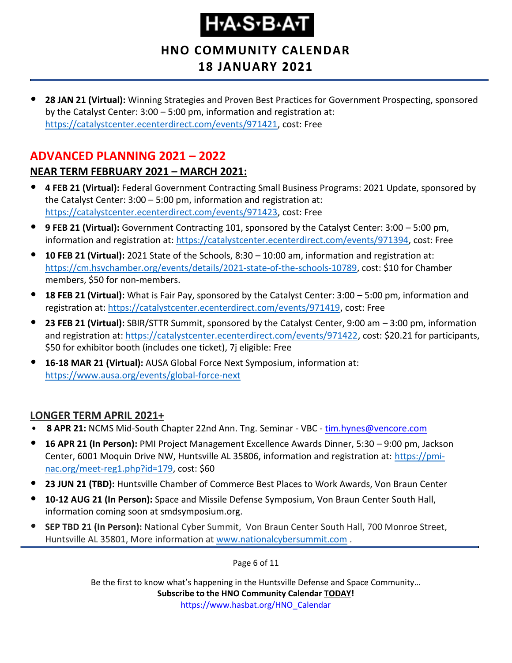**HNO COMMUNITY CALENDAR**

#### **18 JANUARY 2021**

• **28 JAN 21 (Virtual):** Winning Strategies and Proven Best Practices for Government Prospecting, sponsored by the Catalyst Center: 3:00 – 5:00 pm, information and registration at: [https://catalystcenter.ecenterdirect.com/events/971421,](https://catalystcenter.ecenterdirect.com/events/971421) cost: Free

### <span id="page-5-0"></span>**ADVANCED PLANNING 2021 – 2022**

#### **NEAR TERM FEBRUARY 2021 – MARCH 2021:**

- **4 FEB 21 (Virtual):** Federal Government Contracting Small Business Programs: 2021 Update, sponsored by the Catalyst Center: 3:00 – 5:00 pm, information and registration at: [https://catalystcenter.ecenterdirect.com/events/971423,](https://catalystcenter.ecenterdirect.com/events/971423) cost: Free
- **9 FEB 21 (Virtual):** Government Contracting 101, sponsored by the Catalyst Center: 3:00 5:00 pm, information and registration at: [https://catalystcenter.ecenterdirect.com/events/971394,](https://catalystcenter.ecenterdirect.com/events/971394) cost: Free
- **10 FEB 21 (Virtual):** 2021 State of the Schools, 8:30 10:00 am, information and registration at: [https://cm.hsvchamber.org/events/details/2021-state-of-the-schools-10789,](https://cm.hsvchamber.org/events/details/2021-state-of-the-schools-10789) cost: \$10 for Chamber members, \$50 for non-members.
- **18 FEB 21 (Virtual):** What is Fair Pay, sponsored by the Catalyst Center: 3:00 5:00 pm, information and registration at: [https://catalystcenter.ecenterdirect.com/events/971419,](https://catalystcenter.ecenterdirect.com/events/971419) cost: Free
- **23 FEB 21 (Virtual):** SBIR/STTR Summit, sponsored by the Catalyst Center, 9:00 am 3:00 pm, information and registration at: [https://catalystcenter.ecenterdirect.com/events/971422,](https://catalystcenter.ecenterdirect.com/events/971422) cost: \$20.21 for participants, \$50 for exhibitor booth (includes one ticket), 7j eligible: Free
- **16-18 MAR 21 (Virtual):** AUSA Global Force Next Symposium, information at: <https://www.ausa.org/events/global-force-next>

#### **LONGER TERM APRIL 2021+**

- **8 APR 21:** NCMS Mid-South Chapter 22nd Ann. Tng. Seminar VBC [tim.hynes@vencore.com](mailto:tim.hynes@vencore.com)
- **16 APR 21 (In Person):** PMI Project Management Excellence Awards Dinner, 5:30 9:00 pm, Jackson Center, 6001 Moquin Drive NW, Huntsville AL 35806, information and registration at: [https://pmi](https://pmi-nac.org/meet-reg1.php?id=179)[nac.org/meet-reg1.php?id=179,](https://pmi-nac.org/meet-reg1.php?id=179) cost: \$60
- **23 JUN 21 (TBD):** Huntsville Chamber of Commerce Best Places to Work Awards, Von Braun Center
- **10-12 AUG 21 (In Person):** Space and Missile Defense Symposium, Von Braun Center South Hall, information coming soon at smdsymposium.org.
- **SEP TBD 21 (In Person):** National Cyber Summit, Von Braun Center South Hall, 700 Monroe Street, Huntsville AL 35801, More information at [www.nationalcybersummit.com](http://www.nationalcybersummit.com/) .

Page 6 of 11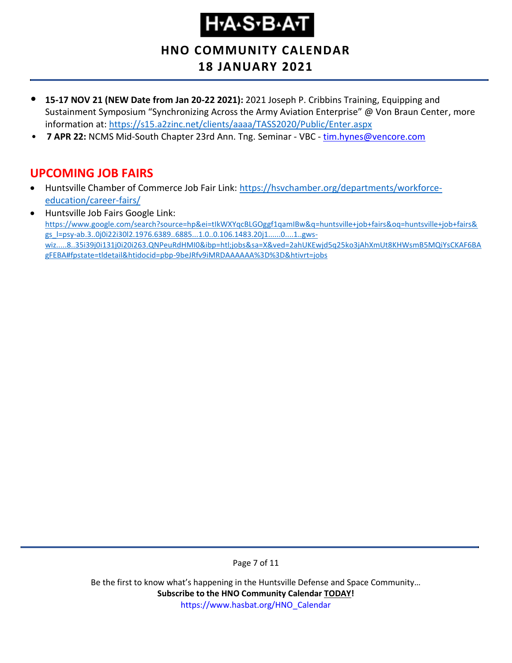# **H-A-S-B-A-T**

**HNO COMMUNITY CALENDAR**

- **18 JANUARY 2021**
- **15-17 NOV 21 (NEW Date from Jan 20-22 2021):** 2021 Joseph P. Cribbins Training, Equipping and Sustainment Symposium "Synchronizing Across the Army Aviation Enterprise" @ Von Braun Center, more information at:<https://s15.a2zinc.net/clients/aaaa/TASS2020/Public/Enter.aspx>
- **7 APR 22:** NCMS Mid-South Chapter 23rd Ann. Tng. Seminar VBC [tim.hynes@vencore.com](mailto:tim.hynes@vencore.com)

#### <span id="page-6-0"></span>**UPCOMING JOB FAIRS**

- Huntsville Chamber of Commerce Job Fair Link: [https://hsvchamber.org/departments/workforce](https://hsvchamber.org/departments/workforce-education/career-fairs/)[education/career-fairs/](https://hsvchamber.org/departments/workforce-education/career-fairs/)
- Huntsville Job Fairs Google Link: [https://www.google.com/search?source=hp&ei=tIkWXYqcBLGOggf1qamIBw&q=huntsville+job+fairs&oq=huntsville+job+fairs&](https://www.google.com/search?source=hp&ei=tIkWXYqcBLGOggf1qamIBw&q=huntsville+job+fairs&oq=huntsville+job+fairs&gs_l=psy-ab.3..0j0i22i30l2.1976.6389..6885...1.0..0.106.1483.20j1......0....1..gws-wiz.....8..35i39j0i131j0i20i263.QNPeuRdHMI0&ibp=htl;jobs&sa=X&ved=2ahUKEwjd5q25ko3jAhXmUt8KHWsmB5MQiYsCKAF6BAgFEBA#fpstate=tldetail&htidocid=pbp-9beJRfv9iMRDAAAAAA%3D%3D&htivrt=jobs) [gs\\_l=psy-ab.3..0j0i22i30l2.1976.6389..6885...1.0..0.106.1483.20j1......0....1..gws](https://www.google.com/search?source=hp&ei=tIkWXYqcBLGOggf1qamIBw&q=huntsville+job+fairs&oq=huntsville+job+fairs&gs_l=psy-ab.3..0j0i22i30l2.1976.6389..6885...1.0..0.106.1483.20j1......0....1..gws-wiz.....8..35i39j0i131j0i20i263.QNPeuRdHMI0&ibp=htl;jobs&sa=X&ved=2ahUKEwjd5q25ko3jAhXmUt8KHWsmB5MQiYsCKAF6BAgFEBA#fpstate=tldetail&htidocid=pbp-9beJRfv9iMRDAAAAAA%3D%3D&htivrt=jobs)[wiz.....8..35i39j0i131j0i20i263.QNPeuRdHMI0&ibp=htl;jobs&sa=X&ved=2ahUKEwjd5q25ko3jAhXmUt8KHWsmB5MQiYsCKAF6BA](https://www.google.com/search?source=hp&ei=tIkWXYqcBLGOggf1qamIBw&q=huntsville+job+fairs&oq=huntsville+job+fairs&gs_l=psy-ab.3..0j0i22i30l2.1976.6389..6885...1.0..0.106.1483.20j1......0....1..gws-wiz.....8..35i39j0i131j0i20i263.QNPeuRdHMI0&ibp=htl;jobs&sa=X&ved=2ahUKEwjd5q25ko3jAhXmUt8KHWsmB5MQiYsCKAF6BAgFEBA#fpstate=tldetail&htidocid=pbp-9beJRfv9iMRDAAAAAA%3D%3D&htivrt=jobs) [gFEBA#fpstate=tldetail&htidocid=pbp-9beJRfv9iMRDAAAAAA%3D%3D&htivrt=jobs](https://www.google.com/search?source=hp&ei=tIkWXYqcBLGOggf1qamIBw&q=huntsville+job+fairs&oq=huntsville+job+fairs&gs_l=psy-ab.3..0j0i22i30l2.1976.6389..6885...1.0..0.106.1483.20j1......0....1..gws-wiz.....8..35i39j0i131j0i20i263.QNPeuRdHMI0&ibp=htl;jobs&sa=X&ved=2ahUKEwjd5q25ko3jAhXmUt8KHWsmB5MQiYsCKAF6BAgFEBA#fpstate=tldetail&htidocid=pbp-9beJRfv9iMRDAAAAAA%3D%3D&htivrt=jobs)

Page 7 of 11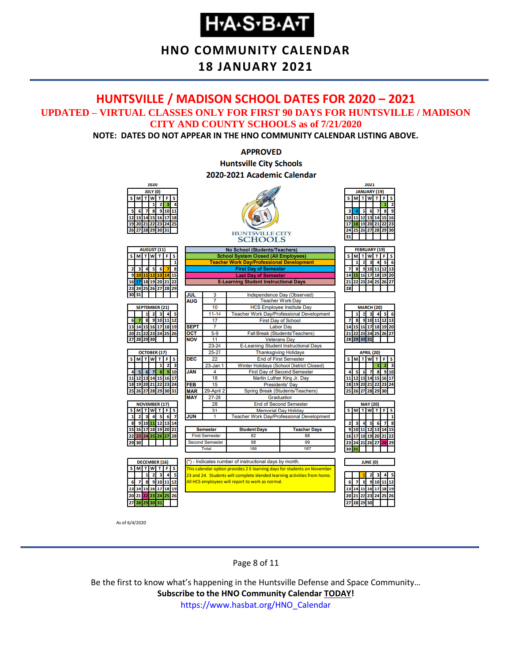### **H-A-S-B-A-T**

#### **HNO COMMUNITY CALENDAR**

#### **18 JANUARY 2021**

#### <span id="page-7-0"></span>**HUNTSVILLE / MADISON SCHOOL DATES FOR 2020 – 2021 UPDATED – VIRTUAL CLASSES ONLY FOR FIRST 90 DAYS FOR HUNTSVILLE / MADISON CITY AND COUNTY SCHOOLS as of 7/21/2020**

**NOTE: DATES DO NOT APPEAR IN THE HNO COMMUNITY CALENDAR LISTING ABOVE.**

#### **APPROVED Huntsville City Schools** 2020-2021 Academic Calendar



As of 6/4/2020

Page 8 of 11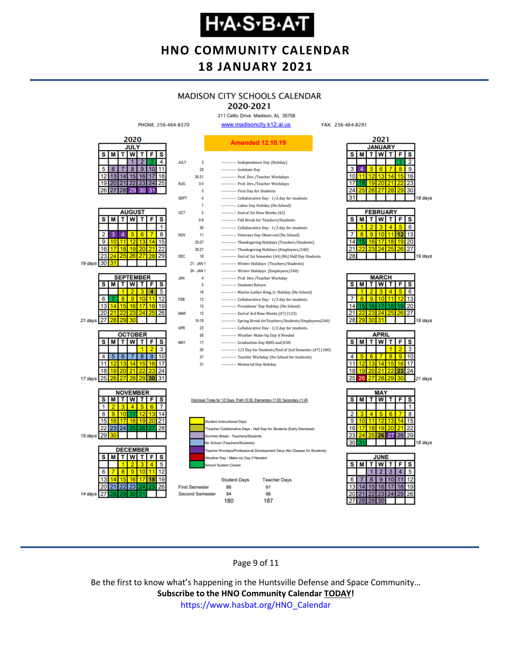## **Н-А-S-В-А-Т**

#### **HNO COMMUNITY CALENDAR 18 JANUARY 2021**

### **MADISON CITY SCHOOLS CALENDAR**

2020-2021 211 Celtic Drive Madison, AL 35758

FAX: 256-464-8291



Page 9 of 11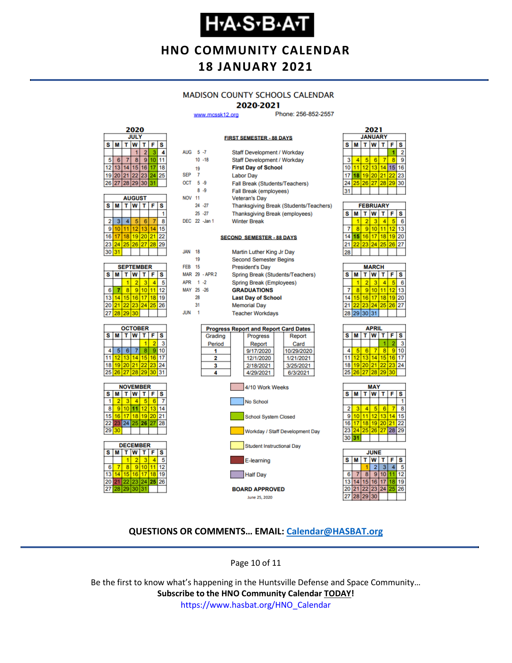### **Н-А-S-В-А-Т**

#### **HNO COMMUNITY CALENDAR 18 JANUARY 2021**

#### **MADISON COUNTY SCHOOLS CALENDAR**

#### 2020-2021

**FIRST SEMESTER - 88 DAYS** 

www.mcssk12.org

Phone: 256-852-2557

| 2020 |             |    |             |    |    |    |  |  |
|------|-------------|----|-------------|----|----|----|--|--|
|      | <b>JULY</b> |    |             |    |    |    |  |  |
| s    | S<br>F<br>м |    |             |    |    |    |  |  |
|      |             |    |             | 2  |    |    |  |  |
| 5    | 6           |    | 8           | g  | п  |    |  |  |
| 12   | 13          |    | -5          | 16 |    | 18 |  |  |
| 19   | 20          | 21 | 22 23       |    | 24 | 25 |  |  |
| 26   |             |    | 27 28 29 30 |    | 31 |    |  |  |

| <b>AUGUST</b> |    |    |                 |    |    |    |
|---------------|----|----|-----------------|----|----|----|
| s             | M  | s  |                 |    |    |    |
|               |    |    |                 |    |    |    |
| 2             | 3  | 4  | 5               | 6  |    | 8  |
| 9             | 10 | 11 | 12 <sup>2</sup> | 13 |    | Б  |
| 16            | 17 | 18 | 19 20           |    | 21 | 22 |
| 23            | 24 |    | 25 26 27        |    | 28 | 29 |
| 30            | 31 |    |                 |    |    |    |

| <b>SEPTEMBER</b> |    |                  |          |  |    |    |  |  |  |
|------------------|----|------------------|----------|--|----|----|--|--|--|
| s                | М  | F<br>W<br>S<br>т |          |  |    |    |  |  |  |
|                  |    |                  |          |  |    |    |  |  |  |
| 6                |    | ٠                | g        |  |    | 12 |  |  |  |
| 13               |    | 15 <sub>1</sub>  | 16       |  | 18 | 19 |  |  |  |
| 20               | 21 |                  | 22 23 24 |  | 25 | 26 |  |  |  |
| 27               | 28 | 29               | 30       |  |    |    |  |  |  |







| AUG 5-7          |    |                | Staff Development / Workday                  |  |  |  |  |  |
|------------------|----|----------------|----------------------------------------------|--|--|--|--|--|
|                  |    | $10 - 18$      | Staff Development / Workday                  |  |  |  |  |  |
|                  | 19 |                | <b>First Day of School</b>                   |  |  |  |  |  |
| SEP <sub>7</sub> |    |                | <b>Labor Day</b>                             |  |  |  |  |  |
| $OCT = 5 - 9$    |    |                | Fall Break (Students/Teachers)               |  |  |  |  |  |
|                  |    | $8 - 9$        | <b>Fall Break (employees)</b>                |  |  |  |  |  |
| <b>NOV 11</b>    |    |                | <b>Veteran's Day</b>                         |  |  |  |  |  |
|                  |    | 24. - 27       | Thanksgiving Break (Students/Teachers)       |  |  |  |  |  |
|                  |    | $25 - 27$      | <b>Thanksgiving Break (employees)</b>        |  |  |  |  |  |
|                  |    | DEC 22 -Jan 1  | <b>Winter Break</b>                          |  |  |  |  |  |
|                  |    |                |                                              |  |  |  |  |  |
|                  |    |                | <b>SECOND SEMESTER - 88 DAYS</b>             |  |  |  |  |  |
| <b>JAN</b>       | 18 |                |                                              |  |  |  |  |  |
|                  | 19 |                | Martin Luther King Jr Day                    |  |  |  |  |  |
| <b>FEB</b> 15    |    |                | <b>Second Semester Begins</b>                |  |  |  |  |  |
|                  |    | MAR 29 - APR 2 | <b>President's Day</b>                       |  |  |  |  |  |
| APR 1-2          |    |                | Spring Break (Students/Teachers)             |  |  |  |  |  |
|                  |    |                | Spring Break (Employees)                     |  |  |  |  |  |
| MAY 25 -26       |    |                | <b>GRADUATIONS</b>                           |  |  |  |  |  |
|                  | 28 |                | <b>Last Day of School</b>                    |  |  |  |  |  |
|                  | 31 |                | <b>Memorial Day</b>                          |  |  |  |  |  |
| JUN              | -1 |                | <b>Teacher Workdays</b>                      |  |  |  |  |  |
|                  |    |                | <b>Progress Report and Report Card Dates</b> |  |  |  |  |  |
|                  |    | Grading        | <b>Progress</b><br>Report                    |  |  |  |  |  |
|                  |    | Period         | Card<br>Report                               |  |  |  |  |  |
|                  |    | 1              | 9/17/2020<br>10/29/2020                      |  |  |  |  |  |
|                  |    | 2              | 12/1/2020<br>1/21/2021                       |  |  |  |  |  |
|                  |    | 3              | 2/18/2021<br>3/25/2021                       |  |  |  |  |  |
|                  |    | 4              | 4/29/2021<br>6/3/2021                        |  |  |  |  |  |
|                  |    |                |                                              |  |  |  |  |  |





| <b>FEBRUARY</b> |   |                 |                 |    |          |    |  |
|-----------------|---|-----------------|-----------------|----|----------|----|--|
| s               | м |                 | W               | т  | F        | s  |  |
|                 |   | 2               |                 |    |          | 6  |  |
|                 | ۹ | 9               | 10              |    | ۰        | 13 |  |
|                 |   | 16              | 17              | 18 | 19       | 20 |  |
|                 |   | 23 <sub>1</sub> | 24 <sub>1</sub> |    | 25 26 27 |    |  |
|                 |   |                 |                 |    |          |    |  |

| <b>MARCH</b>       |                 |     |    |    |    |    |  |
|--------------------|-----------------|-----|----|----|----|----|--|
| $\bar{\mathbf{s}}$ | м               | Ŧ.  | W  |    | F  | S  |  |
|                    |                 | 2   |    |    |    | в  |  |
|                    | 8               | 9   | 10 |    | 12 | 13 |  |
| 14                 | 15 <sup>1</sup> | 16  | 17 | 18 | 19 | 20 |  |
| 21                 |                 | 123 | 24 | 25 | 26 | 27 |  |
|                    | 28 29 30 31     |     |    |    |    |    |  |
|                    |                 |     |    |    |    |    |  |

| APRIL |   |                   |   |       |       |    |  |  |
|-------|---|-------------------|---|-------|-------|----|--|--|
| s     | M | т                 | W | т     | F     | s  |  |  |
|       |   |                   |   |       |       |    |  |  |
|       | 5 | 6                 |   | 8     | 9     | 10 |  |  |
| 11    |   | 12 13 14          |   | 15    | 16 17 |    |  |  |
| 18    |   | 19 20 21 22 23 24 |   |       |       |    |  |  |
| 25    |   | 26 27 28          |   | 29130 |       |    |  |  |
|       |   |                   |   |       |       |    |  |  |





#### **QUESTIONS OR COMMENTS… EMAIL: [Calendar@HASBAT.org](mailto:calendar@hasbat.org)**

June 25, 2020

Page 10 of 11